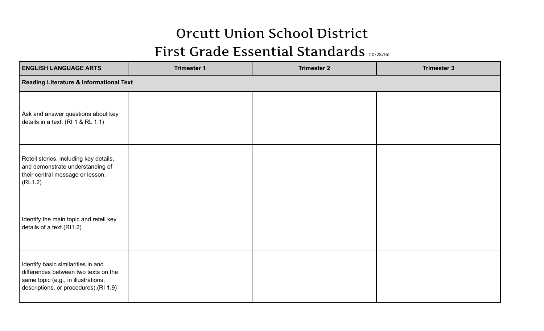## Orcutt Union School District First Grade Essential Standards (10/28/16)

| <b>ENGLISH LANGUAGE ARTS</b>                                                                                                                                | <b>Trimester 1</b> | <b>Trimester 2</b> | <b>Trimester 3</b> |  |  |
|-------------------------------------------------------------------------------------------------------------------------------------------------------------|--------------------|--------------------|--------------------|--|--|
| <b>Reading Literature &amp; Informational Text</b>                                                                                                          |                    |                    |                    |  |  |
| Ask and answer questions about key<br>details in a text. (RI 1 & RL 1.1)                                                                                    |                    |                    |                    |  |  |
| Retell stories, including key details,<br>and demonstrate understanding of<br>their central message or lesson.<br>(RL1.2)                                   |                    |                    |                    |  |  |
| Identify the main topic and retell key<br>details of a text.(RI1.2)                                                                                         |                    |                    |                    |  |  |
| Identify basic similarities in and<br>differences between two texts on the<br>same topic (e.g., in illustrations,<br>descriptions, or procedures). (RI 1.9) |                    |                    |                    |  |  |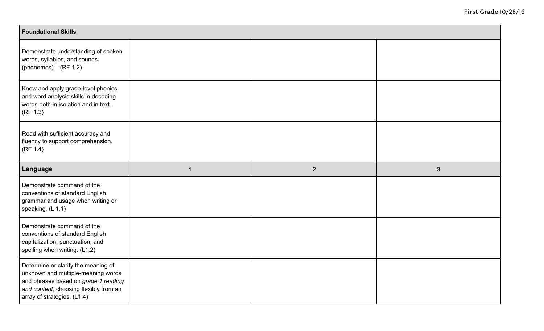| <b>Foundational Skills</b>                                                                                                                                                                 |   |                |              |  |  |
|--------------------------------------------------------------------------------------------------------------------------------------------------------------------------------------------|---|----------------|--------------|--|--|
| Demonstrate understanding of spoken<br>words, syllables, and sounds<br>(phonemes). (RF 1.2)                                                                                                |   |                |              |  |  |
| Know and apply grade-level phonics<br>and word analysis skills in decoding<br>words both in isolation and in text.<br>(RF 1.3)                                                             |   |                |              |  |  |
| Read with sufficient accuracy and<br>fluency to support comprehension.<br>(RF 1.4)                                                                                                         |   |                |              |  |  |
| Language                                                                                                                                                                                   | 1 | $\overline{2}$ | $\mathbf{3}$ |  |  |
| Demonstrate command of the<br>conventions of standard English<br>grammar and usage when writing or<br>speaking. $(L 1.1)$                                                                  |   |                |              |  |  |
| Demonstrate command of the<br>conventions of standard English<br>capitalization, punctuation, and<br>spelling when writing. (L1.2)                                                         |   |                |              |  |  |
| Determine or clarify the meaning of<br>unknown and multiple-meaning words<br>and phrases based on grade 1 reading<br>and content, choosing flexibly from an<br>array of strategies. (L1.4) |   |                |              |  |  |